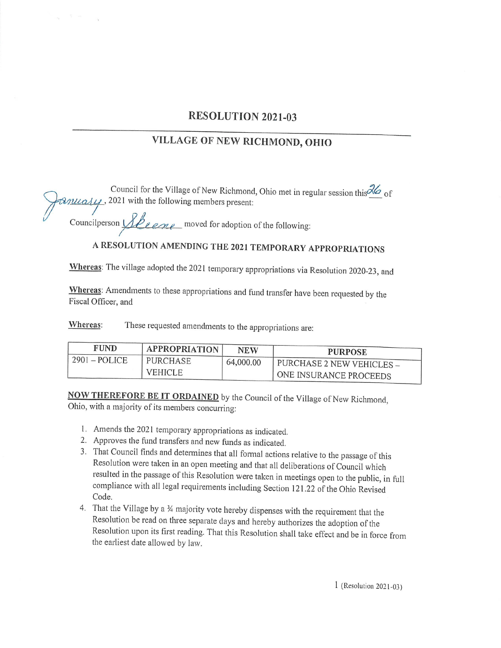## RESOLUTION 2021-03

## VILLAGE OF NEW RICHMOND, OHIO

Council for the Village of New Richmond, Ohio met in regular session this  $\frac{d}{d}$  of  $\mathcal{B}$ *iversity*, 2021 with the following members present:

Councilperson  $\sqrt{\text{R}e}$  moved for adoption of the following:

## A RESOLUTION AMENDING THE 2021 TEMPORARY APPROPRIATIONS

Whereas: The village adopted the 2021 temporary appropriations via Resolution 2020-23, and

Whereas: Amendments to these appropriations and fund transfer have been requested by the Fiscal Officer, and

Whereas: These requested amendments to the appropriations are:

| <b>FUND</b>     | <b>APPROPRIATION</b> | <b>NEW</b> | <b>PURPOSE</b>                   |
|-----------------|----------------------|------------|----------------------------------|
| $2901 - POLICE$ | PURCHASE             | 64,000.00  | <b>PURCHASE 2 NEW VEHICLES –</b> |
|                 | <b>VEHICLE</b>       |            | ONE INSURANCE PROCEEDS           |

NOW THEREFORE BE IT ORDAINED by the Council of the Village of New Richmond, Ohio, with <sup>a</sup> majority of its members concurring:

- 1. Amends the 2021 temporary appropriations as indicated.
- 2. Approves the fund transfers and new funds as indicated.
- 3. That Council finds and determines that all formal actions relative to the passage of this Resolution were taken in an open meeting and that all deliberations of Council which resulted in the passage of this Resolution were taken in meetings open to the public, in full compliance with all legal requirements including Section 121. 22 of the Ohio Revised Code.
- 4. That the Village by a  $\frac{1}{4}$  majority vote hereby dispenses with the requirement that the Resolution be read on three separate days and hereby authorizes the adoption of the Resolution upon its first reading. That this Resolution shall take effect and be in force from the earliest date allowed by law.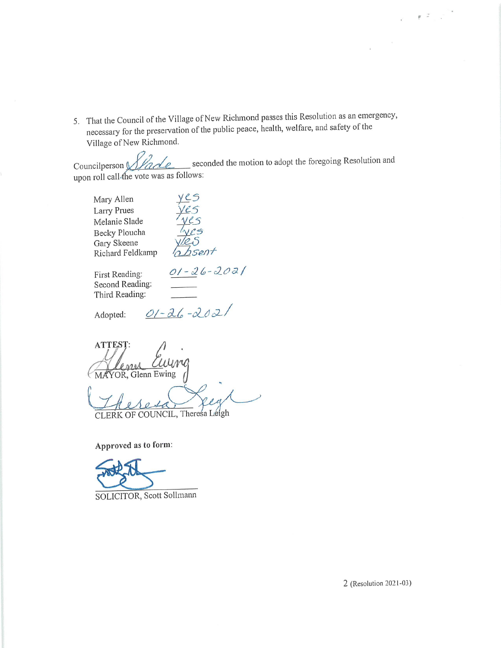5. That the Council of the Village of New Richmond passes this Resolution as an emergency, necessary for the preservation of the public peace, health, welfare, and safety of the Village of New Richmond.

Councilperson  $\sqrt{1/2}$ upon roll call4he vote was as follows:

Mary Allen Larry Piues Melanie Slade Becky Ploucha Gary Skeene<br>Richard Feldkamp

Feld<br>Veld<br>Tyes<br>The Sent

Second Reading: Third Reading:

First Reading:  $01 - 26 - 2021$ 

Adopted:

 $01 - 26 - 2021$ 

ATTEST: ense MAYOR, Glenn Ewing

j R CLERK OF COUNCIL, Theresa Leigh

Approved as to form:

SOLICITOR, Scott Sollmann

 $\varrho$  -2  $^{-1}$  .